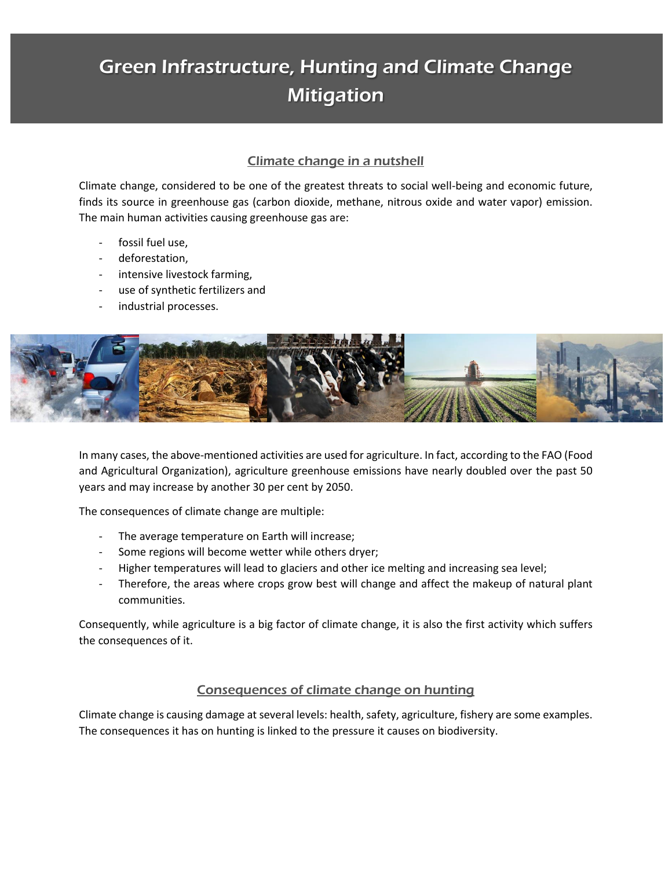# Green Infrastructure, Hunting and Climate Change **Mitigation**

## Climate change in a nutshell

Climate change, considered to be one of the greatest threats to social well-being and economic future, finds its source in greenhouse gas (carbon dioxide, methane, nitrous oxide and water vapor) emission. The main human activities causing greenhouse gas are:

- fossil fuel use,
- deforestation,
- intensive livestock farming,
- use of synthetic fertilizers and
- industrial processes.



In many cases, the above-mentioned activities are used for agriculture. In fact, according to the FAO (Food and Agricultural Organization), agriculture greenhouse emissions have nearly doubled over the past 50 years and may increase by another 30 per cent by 2050.

The consequences of climate change are multiple:

- The average temperature on Earth will increase;
- Some regions will become wetter while others dryer;
- Higher temperatures will lead to glaciers and other ice melting and increasing sea level;
- Therefore, the areas where crops grow best will change and affect the makeup of natural plant communities.

Consequently, while agriculture is a big factor of climate change, it is also the first activity which suffers the consequences of it.

#### Consequences of climate change on hunting

Climate change is causing damage at several levels: health, safety, agriculture, fishery are some examples. The consequences it has on hunting is linked to the pressure it causes on biodiversity.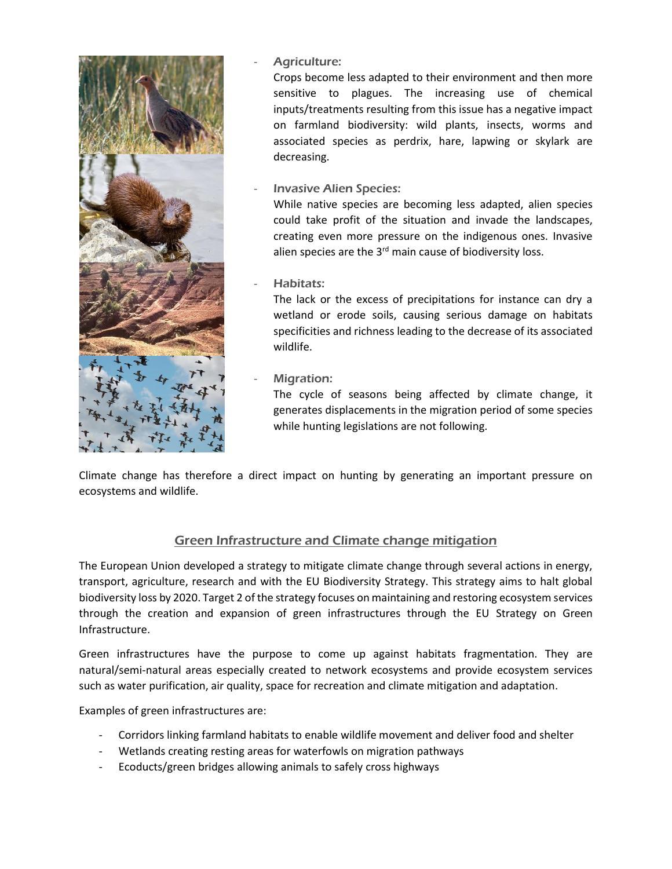

#### Agriculture:

Crops become less adapted to their environment and then more sensitive to plagues. The increasing use of chemical inputs/treatments resulting from this issue has a negative impact on farmland biodiversity: wild plants, insects, worms and associated species as perdrix, hare, lapwing or skylark are decreasing.

**Invasive Alien Species:** 

While native species are becoming less adapted, alien species could take profit of the situation and invade the landscapes, creating even more pressure on the indigenous ones. Invasive alien species are the  $3<sup>rd</sup>$  main cause of biodiversity loss.

Habitats:

The lack or the excess of precipitations for instance can dry a wetland or erode soils, causing serious damage on habitats specificities and richness leading to the decrease of its associated wildlife.

Migration:

The cycle of seasons being affected by climate change, it generates displacements in the migration period of some species while hunting legislations are not following.

Climate change has therefore a direct impact on hunting by generating an important pressure on ecosystems and wildlife.

## Green Infrastructure and Climate change mitigation

The European Union developed a strategy to mitigate climate change through several actions in energy, transport, agriculture, research and with the EU Biodiversity Strategy. This strategy aims to halt global biodiversity loss by 2020. Target 2 of the strategy focuses on maintaining and restoring ecosystem services through the creation and expansion of green infrastructures through the EU Strategy on Green Infrastructure.

Green infrastructures have the purpose to come up against habitats fragmentation. They are natural/semi-natural areas especially created to network ecosystems and provide ecosystem services such as water purification, air quality, space for recreation and climate mitigation and adaptation.

Examples of green infrastructures are:

- Corridors linking farmland habitats to enable wildlife movement and deliver food and shelter
- Wetlands creating resting areas for waterfowls on migration pathways
- Ecoducts/green bridges allowing animals to safely cross highways